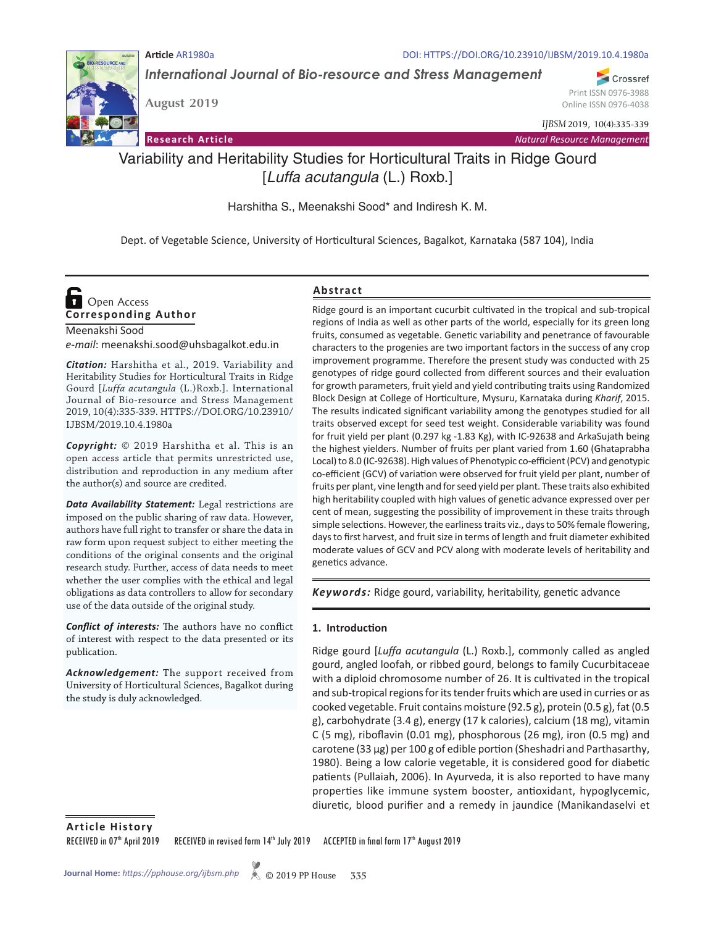

*International Journal of Bio-resource and Stress Management*

**Article** AR1980a DOI: HTTPS://DOI.ORG/10.23910/IJBSM/2019.10.4.1980a

Crossref Print ISSN 0976-3988 Online ISSN 0976-4038

*IJBSM* 2019, 10(4):335-339

**Research Article** *Natural Resource Management*

# Variability and Heritability Studies for Horticultural Traits in Ridge Gourd [*Luffa acutangula* (L.) Roxb.]

Harshitha S., Meenakshi Sood\* and Indiresh K. M.

Dept. of Vegetable Science, University of Horticultural Sciences, Bagalkot, Karnataka (587 104), India

## **Corresponding Author**  Open Access

Meenakshi Sood *e-mail*: meenakshi.sood@uhsbagalkot.edu.in

**August 2019**

*Citation:* Harshitha et al., 2019. Variability and Heritability Studies for Horticultural Traits in Ridge Gourd [*Luffa acutangula* (L.)Roxb.]. International Journal of Bio-resource and Stress Management 2019, 10(4):335-339. HTTPS://DOI.ORG/10.23910/ IJBSM/2019.10.4.1980a

*Copyright:* © 2019 Harshitha et al. This is an open access article that permits unrestricted use, distribution and reproduction in any medium after the author(s) and source are credited.

*Data Availability Statement:* Legal restrictions are imposed on the public sharing of raw data. However, authors have full right to transfer or share the data in raw form upon request subject to either meeting the conditions of the original consents and the original research study. Further, access of data needs to meet whether the user complies with the ethical and legal obligations as data controllers to allow for secondary use of the data outside of the original study.

*Conflict of interests:* The authors have no conflict of interest with respect to the data presented or its publication.

*Acknowledgement:* The support received from University of Horticultural Sciences, Bagalkot during the study is duly acknowledged.

#### **Abstract**

Ridge gourd is an important cucurbit cultivated in the tropical and sub-tropical regions of India as well as other parts of the world, especially for its green long fruits, consumed as vegetable. Genetic variability and penetrance of favourable characters to the progenies are two important factors in the success of any crop improvement programme. Therefore the present study was conducted with 25 genotypes of ridge gourd collected from different sources and their evaluation for growth parameters, fruit yield and yield contributing traits using Randomized Block Design at College of Horticulture, Mysuru, Karnataka during *Kharif*, 2015. The results indicated significant variability among the genotypes studied for all traits observed except for seed test weight. Considerable variability was found for fruit yield per plant (0.297 kg -1.83 Kg), with IC-92638 and ArkaSujath being the highest yielders. Number of fruits per plant varied from 1.60 (Ghataprabha Local) to 8.0 (IC-92638). High values of Phenotypic co-efficient (PCV) and genotypic co-efficient (GCV) of variation were observed for fruit yield per plant, number of fruits per plant, vine length and for seed yield per plant. These traits also exhibited high heritability coupled with high values of genetic advance expressed over per cent of mean, suggesting the possibility of improvement in these traits through simple selections. However, the earliness traits viz., days to 50% female flowering, days to first harvest, and fruit size in terms of length and fruit diameter exhibited moderate values of GCV and PCV along with moderate levels of heritability and genetics advance.

*Keywords:* Ridge gourd, variability, heritability, genetic advance

#### **1. Introduction**

Ridge gourd [*Luffa acutangula* (L.) Roxb.], commonly called as angled gourd, angled loofah, or ribbed gourd, belongs to family Cucurbitaceae with a diploid chromosome number of 26. It is cultivated in the tropical and sub-tropical regions for its tender fruits which are used in curries or as cooked vegetable. Fruit contains moisture (92.5 g), protein (0.5 g), fat (0.5 g), carbohydrate (3.4 g), energy (17 k calories), calcium (18 mg), vitamin C (5 mg), riboflavin (0.01 mg), phosphorous (26 mg), iron (0.5 mg) and carotene (33 µg) per 100 g of edible portion (Sheshadri and Parthasarthy, 1980). Being a low calorie vegetable, it is considered good for diabetic patients (Pullaiah, 2006). In Ayurveda, it is also reported to have many properties like immune system booster, antioxidant, hypoglycemic, diuretic, blood purifier and a remedy in jaundice (Manikandaselvi et

**Article History**

RECEIVED in 07<sup>th</sup> April 2019 RECEIVED in revised form 14<sup>th</sup> July 2019 ACCEPTED in final form 17<sup>th</sup> August 2019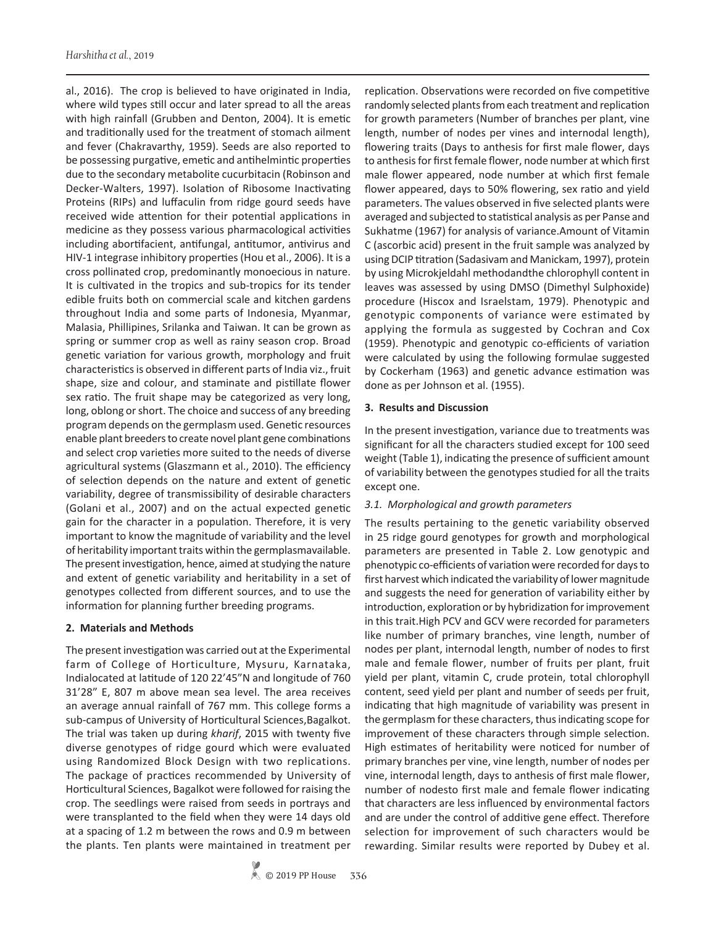al., 2016). The crop is believed to have originated in India, where wild types still occur and later spread to all the areas with high rainfall (Grubben and Denton, 2004). It is emetic and traditionally used for the treatment of stomach ailment and fever (Chakravarthy, 1959). Seeds are also reported to be possessing purgative, emetic and antihelmintic properties due to the secondary metabolite cucurbitacin (Robinson and Decker-Walters, 1997). Isolation of Ribosome Inactivating Proteins (RIPs) and luffaculin from ridge gourd seeds have received wide attention for their potential applications in medicine as they possess various pharmacological activities including abortifacient, antifungal, antitumor, antivirus and HIV-1 integrase inhibitory properties (Hou et al., 2006). It is a cross pollinated crop, predominantly monoecious in nature. It is cultivated in the tropics and sub-tropics for its tender edible fruits both on commercial scale and kitchen gardens throughout India and some parts of Indonesia, Myanmar, Malasia, Phillipines, Srilanka and Taiwan. It can be grown as spring or summer crop as well as rainy season crop. Broad genetic variation for various growth, morphology and fruit characteristics is observed in different parts of India viz., fruit shape, size and colour, and staminate and pistillate flower sex ratio. The fruit shape may be categorized as very long, long, oblong or short. The choice and success of any breeding program depends on the germplasm used. Genetic resources enable plant breeders to create novel plant gene combinations and select crop varieties more suited to the needs of diverse agricultural systems (Glaszmann et al., 2010). The efficiency of selection depends on the nature and extent of genetic variability, degree of transmissibility of desirable characters (Golani et al., 2007) and on the actual expected genetic gain for the character in a population. Therefore, it is very important to know the magnitude of variability and the level of heritability important traits within the germplasmavailable. The present investigation, hence, aimed at studying the nature and extent of genetic variability and heritability in a set of genotypes collected from different sources, and to use the information for planning further breeding programs.

### **2. Materials and Methods**

The present investigation was carried out at the Experimental farm of College of Horticulture, Mysuru, Karnataka, Indialocated at latitude of 120 22'45"N and longitude of 760 31'28" E, 807 m above mean sea level. The area receives an average annual rainfall of 767 mm. This college forms a sub-campus of University of Horticultural Sciences,Bagalkot. The trial was taken up during *kharif*, 2015 with twenty five diverse genotypes of ridge gourd which were evaluated using Randomized Block Design with two replications. The package of practices recommended by University of Horticultural Sciences, Bagalkot were followed for raising the crop. The seedlings were raised from seeds in portrays and were transplanted to the field when they were 14 days old at a spacing of 1.2 m between the rows and 0.9 m between the plants. Ten plants were maintained in treatment per

replication. Observations were recorded on five competitive randomly selected plants from each treatment and replication for growth parameters (Number of branches per plant, vine length, number of nodes per vines and internodal length), flowering traits (Days to anthesis for first male flower, days to anthesis for first female flower, node number at which first male flower appeared, node number at which first female flower appeared, days to 50% flowering, sex ratio and yield parameters. The values observed in five selected plants were averaged and subjected to statistical analysis as per Panse and Sukhatme (1967) for analysis of variance.Amount of Vitamin C (ascorbic acid) present in the fruit sample was analyzed by using DCIP titration (Sadasivam and Manickam, 1997), protein by using Microkjeldahl methodandthe chlorophyll content in leaves was assessed by using DMSO (Dimethyl Sulphoxide) procedure (Hiscox and Israelstam, 1979). Phenotypic and genotypic components of variance were estimated by applying the formula as suggested by Cochran and Cox (1959). Phenotypic and genotypic co-efficients of variation were calculated by using the following formulae suggested by Cockerham (1963) and genetic advance estimation was done as per Johnson et al. (1955).

### **3. Results and Discussion**

In the present investigation, variance due to treatments was significant for all the characters studied except for 100 seed weight (Table 1), indicating the presence of sufficient amount of variability between the genotypes studied for all the traits except one.

#### *3.1. Morphological and growth parameters*

The results pertaining to the genetic variability observed in 25 ridge gourd genotypes for growth and morphological parameters are presented in Table 2. Low genotypic and phenotypic co-efficients of variation were recorded for days to first harvest which indicated the variability of lower magnitude and suggests the need for generation of variability either by introduction, exploration or by hybridization for improvement in this trait.High PCV and GCV were recorded for parameters like number of primary branches, vine length, number of nodes per plant, internodal length, number of nodes to first male and female flower, number of fruits per plant, fruit yield per plant, vitamin C, crude protein, total chlorophyll content, seed yield per plant and number of seeds per fruit, indicating that high magnitude of variability was present in the germplasm for these characters, thus indicating scope for improvement of these characters through simple selection. High estimates of heritability were noticed for number of primary branches per vine, vine length, number of nodes per vine, internodal length, days to anthesis of first male flower, number of nodesto first male and female flower indicating that characters are less influenced by environmental factors and are under the control of additive gene effect. Therefore selection for improvement of such characters would be rewarding. Similar results were reported by Dubey et al.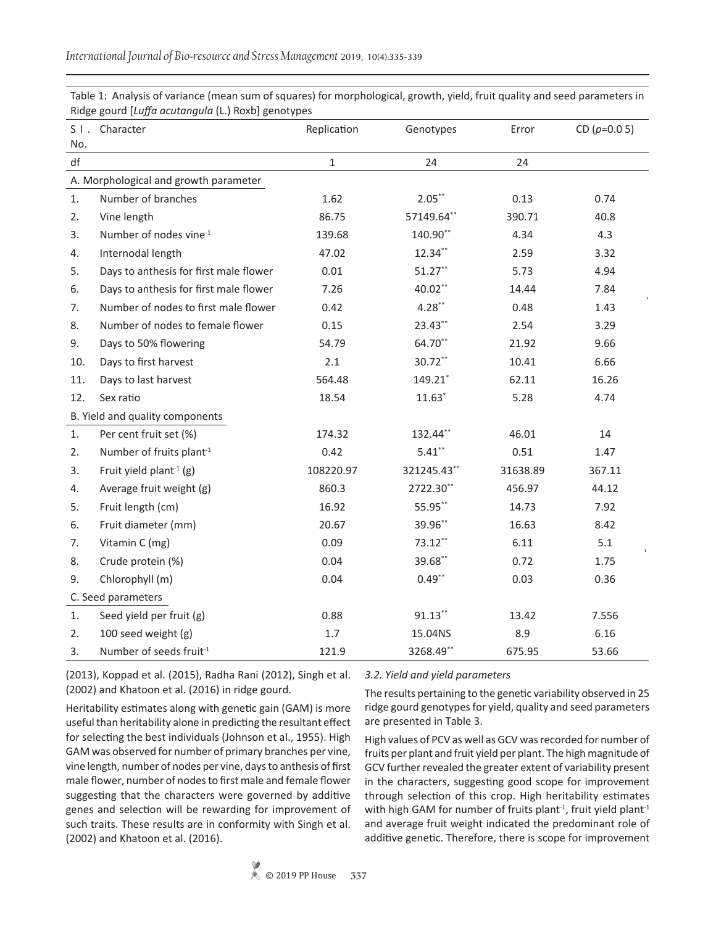| $S1$ . | Character                              | Replication  | Genotypes   | Error    | CD $(p=0.05)$ |
|--------|----------------------------------------|--------------|-------------|----------|---------------|
| No.    |                                        |              |             |          |               |
| df     |                                        | $\mathbf{1}$ | 24          | 24       |               |
|        | A. Morphological and growth parameter  |              |             |          |               |
| 1.     | Number of branches                     | 1.62         | $2.05***$   | 0.13     | 0.74          |
| 2.     | Vine length                            | 86.75        | 57149.64**  | 390.71   | 40.8          |
| 3.     | Number of nodes vine <sup>-1</sup>     | 139.68       | 140.90**    | 4.34     | 4.3           |
| 4.     | Internodal length                      | 47.02        | 12.34**     | 2.59     | 3.32          |
| 5.     | Days to anthesis for first male flower | 0.01         | $51.27***$  | 5.73     | 4.94          |
| 6.     | Days to anthesis for first male flower | 7.26         | 40.02**     | 14.44    | 7.84          |
| 7.     | Number of nodes to first male flower   | 0.42         | $4.28**$    | 0.48     | 1.43          |
| 8.     | Number of nodes to female flower       | 0.15         | 23.43**     | 2.54     | 3.29          |
| 9.     | Days to 50% flowering                  | 54.79        | 64.70**     | 21.92    | 9.66          |
| 10.    | Days to first harvest                  | 2.1          | 30.72**     | 10.41    | 6.66          |
| 11.    | Days to last harvest                   | 564.48       | 149.21      | 62.11    | 16.26         |
| 12.    | Sex ratio                              | 18.54        | $11.63*$    | 5.28     | 4.74          |
|        | B. Yield and quality components        |              |             |          |               |
| 1.     | Per cent fruit set (%)                 | 174.32       | 132.44**    | 46.01    | 14            |
| 2.     | Number of fruits plant <sup>-1</sup>   | 0.42         | $5.41***$   | 0.51     | 1.47          |
| 3.     | Fruit yield plant <sup>-1</sup> (g)    | 108220.97    | 321245.43** | 31638.89 | 367.11        |
| 4.     | Average fruit weight (g)               | 860.3        | 2722.30**   | 456.97   | 44.12         |
| 5.     | Fruit length (cm)                      | 16.92        | 55.95**     | 14.73    | 7.92          |
| 6.     | Fruit diameter (mm)                    | 20.67        | 39.96**     | 16.63    | 8.42          |
| 7.     | Vitamin C (mg)                         | 0.09         | 73.12**     | 6.11     | 5.1           |
| 8.     | Crude protein (%)                      | 0.04         | 39.68**     | 0.72     | 1.75          |
| 9.     | Chlorophyll (m)                        | 0.04         | $0.49***$   | 0.03     | 0.36          |
|        | C. Seed parameters                     |              |             |          |               |
| 1.     | Seed yield per fruit (g)               | 0.88         | $91.13***$  | 13.42    | 7.556         |
| 2.     | 100 seed weight (g)                    | 1.7          | 15.04NS     | 8.9      | 6.16          |
| 3.     | Number of seeds fruit <sup>-1</sup>    | 121.9        | 3268.49**   | 675.95   | 53.66         |

Table 1: Analysis of variance (mean sum of squares) for morphological, growth, yield, fruit quality and seed parameters in Ridge gourd [*Luffa acutangula* (L.) Roxb] genotypes

(2013), Koppad et al. (2015), Radha Rani (2012), Singh et al. (2002) and Khatoon et al. (2016) in ridge gourd.

Heritability estimates along with genetic gain (GAM) is more

#### *3.2. Yield and yield parameters*

The results pertaining to the genetic variability observed in 25 ridge gourd genotypes for yield, quality and seed parameters are presented in Table 3.

useful than heritability alone in predicting the resultant effect for selecting the best individuals (Johnson et al., 1955). High GAM was observed for number of primary branches per vine, vine length, number of nodes per vine, days to anthesis of first male flower, number of nodes to first male and female flower suggesting that the characters were governed by additive genes and selection will be rewarding for improvement of such traits. These results are in conformity with Singh et al. (2002) and Khatoon et al. (2016).

High values of PCV as well as GCV was recorded for number of fruits per plant and fruit yield per plant. The high magnitude of GCV further revealed the greater extent of variability present in the characters, suggesting good scope for improvement through selection of this crop. High heritability estimates with high GAM for number of fruits plant<sup>-1</sup>, fruit yield plant<sup>-1</sup> and average fruit weight indicated the predominant role of additive genetic. Therefore, there is scope for improvement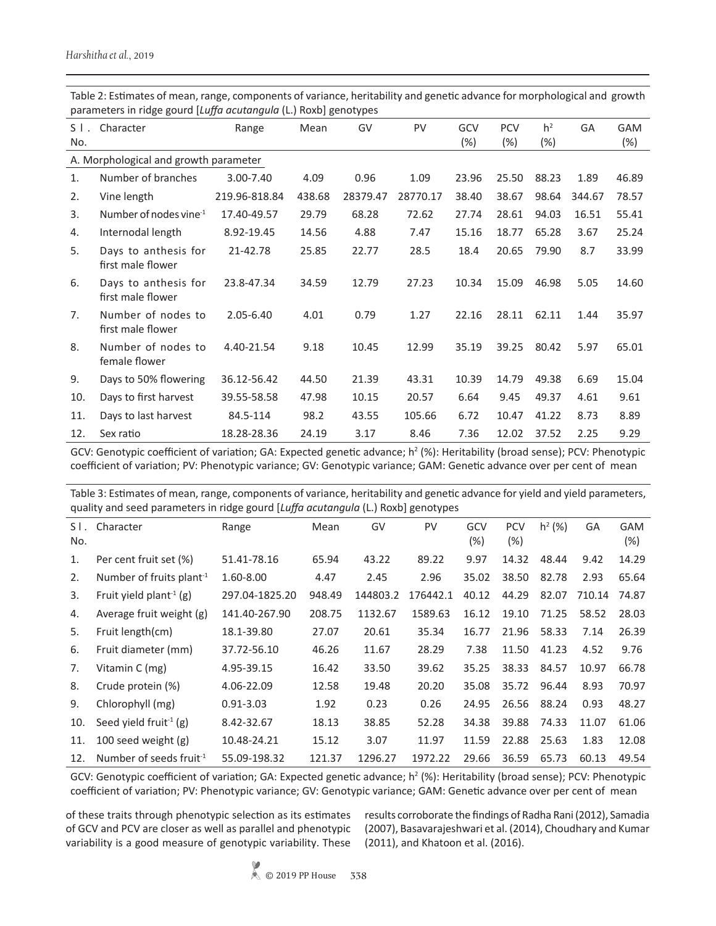| $S$ $\vert$ .<br>No.                  | Character                                 | Range         | Mean   | GV       | PV       | GCV<br>$(\%)$ | <b>PCV</b><br>(%) | h <sup>2</sup><br>$(\%)$ | GA     | <b>GAM</b><br>$(\%)$ |
|---------------------------------------|-------------------------------------------|---------------|--------|----------|----------|---------------|-------------------|--------------------------|--------|----------------------|
| A. Morphological and growth parameter |                                           |               |        |          |          |               |                   |                          |        |                      |
| 1.                                    | Number of branches                        | 3.00-7.40     | 4.09   | 0.96     | 1.09     | 23.96         | 25.50             | 88.23                    | 1.89   | 46.89                |
| 2.                                    | Vine length                               | 219.96-818.84 | 438.68 | 28379.47 | 28770.17 | 38.40         | 38.67             | 98.64                    | 344.67 | 78.57                |
| 3.                                    | Number of nodes vine $^{-1}$              | 17.40-49.57   | 29.79  | 68.28    | 72.62    | 27.74         | 28.61             | 94.03                    | 16.51  | 55.41                |
| 4.                                    | Internodal length                         | 8.92-19.45    | 14.56  | 4.88     | 7.47     | 15.16         | 18.77             | 65.28                    | 3.67   | 25.24                |
| 5.                                    | Days to anthesis for<br>first male flower | 21-42.78      | 25.85  | 22.77    | 28.5     | 18.4          | 20.65             | 79.90                    | 8.7    | 33.99                |
| 6.                                    | Days to anthesis for<br>first male flower | 23.8-47.34    | 34.59  | 12.79    | 27.23    | 10.34         | 15.09             | 46.98                    | 5.05   | 14.60                |
| 7 <sub>1</sub>                        | Number of nodes to<br>first male flower   | $2.05 - 6.40$ | 4.01   | 0.79     | 1.27     | 22.16         | 28.11             | 62.11                    | 1.44   | 35.97                |
| 8.                                    | Number of nodes to<br>female flower       | 4.40-21.54    | 9.18   | 10.45    | 12.99    | 35.19         | 39.25             | 80.42                    | 5.97   | 65.01                |
| 9.                                    | Days to 50% flowering                     | 36.12-56.42   | 44.50  | 21.39    | 43.31    | 10.39         | 14.79             | 49.38                    | 6.69   | 15.04                |
| 10.                                   | Days to first harvest                     | 39.55-58.58   | 47.98  | 10.15    | 20.57    | 6.64          | 9.45              | 49.37                    | 4.61   | 9.61                 |
| 11.                                   | Days to last harvest                      | 84.5-114      | 98.2   | 43.55    | 105.66   | 6.72          | 10.47             | 41.22                    | 8.73   | 8.89                 |
| 12.                                   | Sex ratio                                 | 18.28-28.36   | 24.19  | 3.17     | 8.46     | 7.36          | 12.02             | 37.52                    | 2.25   | 9.29                 |

Table 2: Estimates of mean, range, components of variance, heritability and genetic advance for morphological and growth parameters in ridge gourd [*Luffa acutangula* (L.) Roxb] genotypes

GCV: Genotypic coefficient of variation; GA: Expected genetic advance;  $h^2$  (%): Heritability (broad sense); PCV: Phenotypic coefficient of variation; PV: Phenotypic variance; GV: Genotypic variance; GAM: Genetic advance over per cent of mean

Table 3: Estimates of mean, range, components of variance, heritability and genetic advance for yield and yield parameters, quality and seed parameters in ridge gourd [*Luffa acutangula* (L.) Roxb] genotypes

|               | daanch ana aaaa baramacara muraya Qaara Fealla aaacandana ferfinamal Qanachbaa |                |        |          |           |               |                      |           |        |                      |
|---------------|--------------------------------------------------------------------------------|----------------|--------|----------|-----------|---------------|----------------------|-----------|--------|----------------------|
| $S$ l.<br>No. | Character                                                                      | Range          | Mean   | GV       | <b>PV</b> | GCV<br>$(\%)$ | <b>PCV</b><br>$(\%)$ | $h^2$ (%) | GA     | <b>GAM</b><br>$(\%)$ |
| 1.            | Per cent fruit set (%)                                                         | 51.41-78.16    | 65.94  | 43.22    | 89.22     | 9.97          | 14.32                | 48.44     | 9.42   | 14.29                |
| 2.            | Number of fruits plant <sup>-1</sup>                                           | 1.60-8.00      | 4.47   | 2.45     | 2.96      | 35.02         | 38.50                | 82.78     | 2.93   | 65.64                |
| 3.            | Fruit yield plant <sup>-1</sup> (g)                                            | 297.04-1825.20 | 948.49 | 144803.2 | 176442.1  | 40.12         | 44.29                | 82.07     | 710.14 | 74.87                |
| 4.            | Average fruit weight (g)                                                       | 141.40-267.90  | 208.75 | 1132.67  | 1589.63   | 16.12         | 19.10                | 71.25     | 58.52  | 28.03                |
| 5.            | Fruit length(cm)                                                               | 18.1-39.80     | 27.07  | 20.61    | 35.34     | 16.77         | 21.96                | 58.33     | 7.14   | 26.39                |
| 6.            | Fruit diameter (mm)                                                            | 37.72-56.10    | 46.26  | 11.67    | 28.29     | 7.38          | 11.50                | 41.23     | 4.52   | 9.76                 |
| 7.            | Vitamin C (mg)                                                                 | 4.95-39.15     | 16.42  | 33.50    | 39.62     | 35.25         | 38.33                | 84.57     | 10.97  | 66.78                |
| 8.            | Crude protein (%)                                                              | 4.06-22.09     | 12.58  | 19.48    | 20.20     | 35.08         | 35.72                | 96.44     | 8.93   | 70.97                |
| 9.            | Chlorophyll (mg)                                                               | $0.91 - 3.03$  | 1.92   | 0.23     | 0.26      | 24.95         | 26.56                | 88.24     | 0.93   | 48.27                |
| 10.           | Seed yield fruit <sup>-1</sup> (g)                                             | 8.42-32.67     | 18.13  | 38.85    | 52.28     | 34.38         | 39.88                | 74.33     | 11.07  | 61.06                |
| 11.           | 100 seed weight $(g)$                                                          | 10.48-24.21    | 15.12  | 3.07     | 11.97     | 11.59         | 22.88                | 25.63     | 1.83   | 12.08                |
| 12.           | Number of seeds fruit <sup>-1</sup>                                            | 55.09-198.32   | 121.37 | 1296.27  | 1972.22   | 29.66         | 36.59                | 65.73     | 60.13  | 49.54                |

GCV: Genotypic coefficient of variation; GA: Expected genetic advance;  $h^2$  (%): Heritability (broad sense); PCV: Phenotypic coefficient of variation; PV: Phenotypic variance; GV: Genotypic variance; GAM: Genetic advance over per cent of mean

variability is a good measure of genotypic variability. These (2011), and Khatoon et al. (2016).

of these traits through phenotypic selection as its estimates results corroborate the findings of Radha Rani (2012), Samadia of GCV and PCV are closer as well as parallel and phenotypic (2007), Basavarajeshwari et al. (2014), Choudhary and Kumar